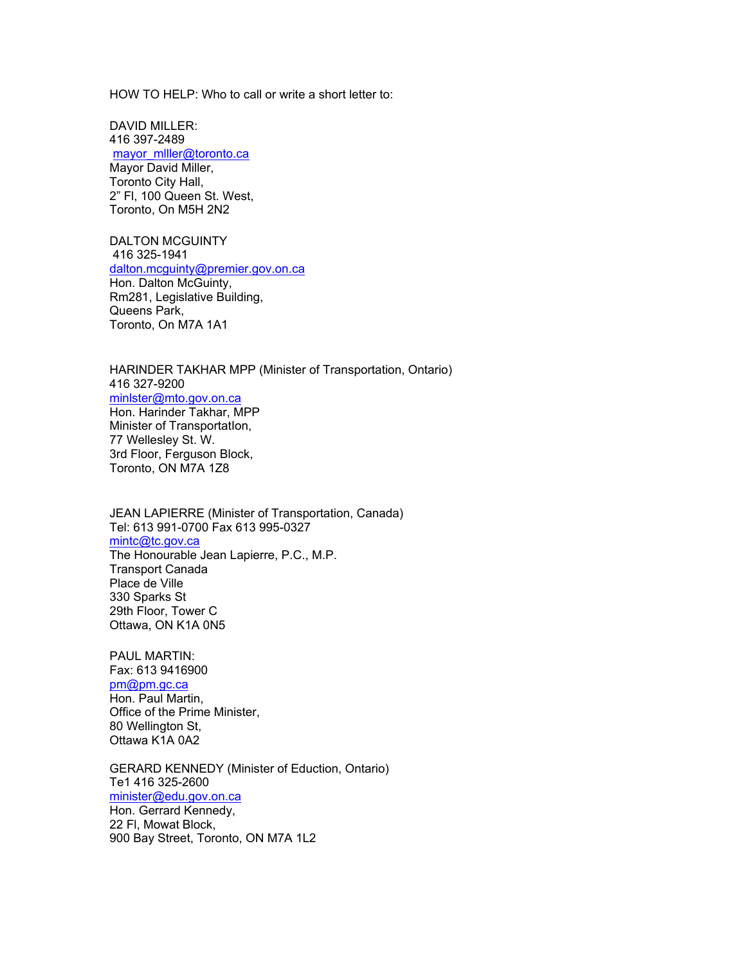HOW TO HELP: Who to call or write a short letter to:

DAVID MILLER: 416 397-2489 mayor\_mlller@toronto.ca Mayor David Miller, Toronto City Hall, 2" Fl, 100 Queen St. West, Toronto, On M5H 2N2

DALTON MCGUINTY 416 325-1941 dalton.mcguinty@premier.gov.on.ca Hon. Dalton McGuinty, Rm281, Legislative Building, Queens Park, Toronto, On M7A 1A1

HARINDER TAKHAR MPP (Minister of Transportation, Ontario) 416 327-9200 minlster@mto.gov.on.ca Hon. Harinder Takhar, MPP Minister of TransportatIon, 77 Wellesley St. W. 3rd Floor, Ferguson Block, Toronto, ON M7A 1Z8

JEAN LAPIERRE (Minister of Transportation, Canada) Tel: 613 991-0700 Fax 613 995-0327 mintc@tc.gov.ca The Honourable Jean Lapierre, P.C., M.P. Transport Canada Place de Ville 330 Sparks St 29th Floor, Tower C Ottawa, ON K1A 0N5

PAUL MARTIN: Fax: 613 9416900 pm@pm.gc.ca Hon. Paul Martin, Office of the Prime Minister, 80 Wellington St, Ottawa K1A 0A2

GERARD KENNEDY (Minister of Eduction, Ontario) Te1 416 325-2600 minister@edu.gov.on.ca Hon. Gerrard Kennedy, 22 Fl, Mowat Block, 900 Bay Street, Toronto, ON M7A 1L2